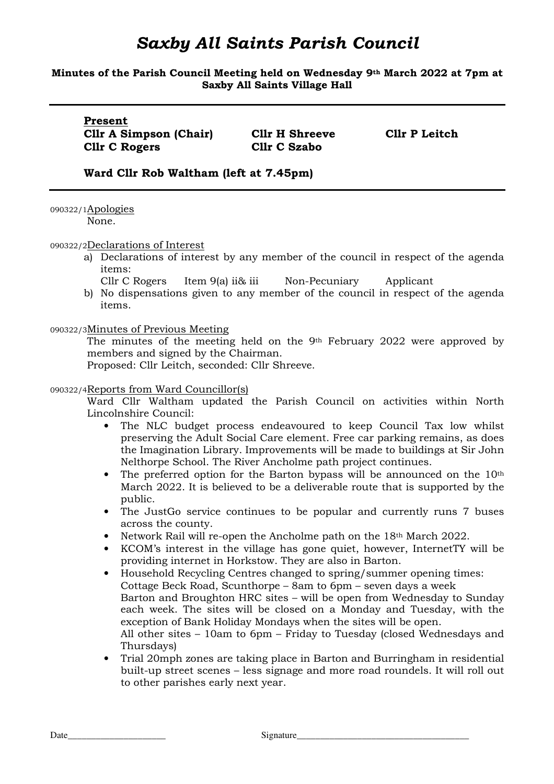### **Minutes of the Parish Council Meeting held on Wednesday 9th March 2022 at 7pm at Saxby All Saints Village Hall**

**Present Cllr A Simpson (Chair) Cllr H Shreeve Cllr P Leitch Cllr C Rogers Cllr C Szabo** 

### **Ward Cllr Rob Waltham (left at 7.45pm)**

090322/1Apologies

None.

090322/2Declarations of Interest

a) Declarations of interest by any member of the council in respect of the agenda items:

Cllr C Rogers Item 9(a) ii& iii Non-Pecuniary Applicant

b) No dispensations given to any member of the council in respect of the agenda items.

090322/3Minutes of Previous Meeting

The minutes of the meeting held on the 9th February 2022 were approved by members and signed by the Chairman.

Proposed: Cllr Leitch, seconded: Cllr Shreeve.

### 090322/4Reports from Ward Councillor(s)

Ward Cllr Waltham updated the Parish Council on activities within North Lincolnshire Council:

- The NLC budget process endeavoured to keep Council Tax low whilst preserving the Adult Social Care element. Free car parking remains, as does the Imagination Library. Improvements will be made to buildings at Sir John Nelthorpe School. The River Ancholme path project continues.
- The preferred option for the Barton bypass will be announced on the 10<sup>th</sup> March 2022. It is believed to be a deliverable route that is supported by the public.
- The JustGo service continues to be popular and currently runs 7 buses across the county.
- Network Rail will re-open the Ancholme path on the 18<sup>th</sup> March 2022.
- KCOM's interest in the village has gone quiet, however, InternetTY will be providing internet in Horkstow. They are also in Barton.
- Household Recycling Centres changed to spring/summer opening times: Cottage Beck Road, Scunthorpe – 8am to 6pm – seven days a week Barton and Broughton HRC sites – will be open from Wednesday to Sunday each week. The sites will be closed on a Monday and Tuesday, with the exception of Bank Holiday Mondays when the sites will be open. All other sites – 10am to 6pm – Friday to Tuesday (closed Wednesdays and Thursdays)
- Trial 20mph zones are taking place in Barton and Burringham in residential built-up street scenes – less signage and more road roundels. It will roll out to other parishes early next year.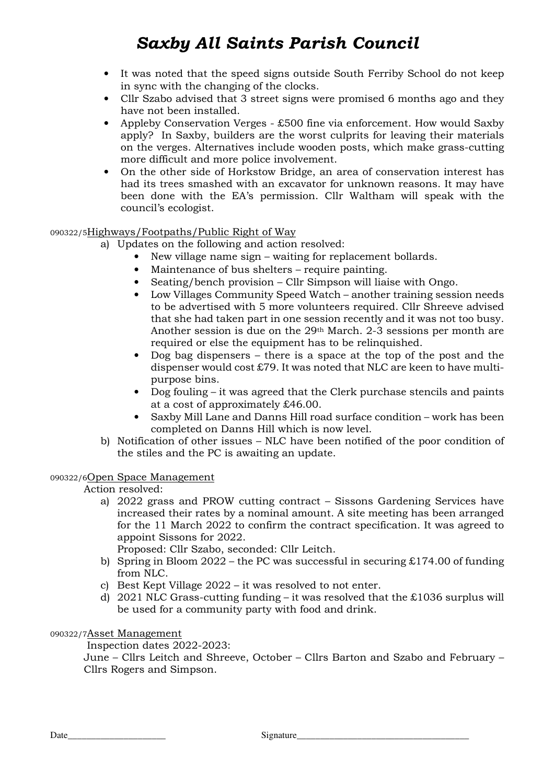- It was noted that the speed signs outside South Ferriby School do not keep in sync with the changing of the clocks.
- Cllr Szabo advised that 3 street signs were promised 6 months ago and they have not been installed.
- Appleby Conservation Verges £500 fine via enforcement. How would Saxby apply? In Saxby, builders are the worst culprits for leaving their materials on the verges. Alternatives include wooden posts, which make grass-cutting more difficult and more police involvement.
- On the other side of Horkstow Bridge, an area of conservation interest has had its trees smashed with an excavator for unknown reasons. It may have been done with the EA's permission. Cllr Waltham will speak with the council's ecologist.

## 090322/5Highways/Footpaths/Public Right of Way

- a) Updates on the following and action resolved:
	- New village name sign waiting for replacement bollards.
		- Maintenance of bus shelters require painting.
		- Seating/bench provision Cllr Simpson will liaise with Ongo.
		- Low Villages Community Speed Watch another training session needs to be advertised with 5 more volunteers required. Cllr Shreeve advised that she had taken part in one session recently and it was not too busy. Another session is due on the 29th March. 2-3 sessions per month are required or else the equipment has to be relinquished.
		- Dog bag dispensers  $-$  there is a space at the top of the post and the dispenser would cost £79. It was noted that NLC are keen to have multipurpose bins.
		- Dog fouling it was agreed that the Clerk purchase stencils and paints at a cost of approximately £46.00.
		- Saxby Mill Lane and Danns Hill road surface condition work has been completed on Danns Hill which is now level.
- b) Notification of other issues NLC have been notified of the poor condition of the stiles and the PC is awaiting an update.

### 090322/6Open Space Management

Action resolved:

a) 2022 grass and PROW cutting contract – Sissons Gardening Services have increased their rates by a nominal amount. A site meeting has been arranged for the 11 March 2022 to confirm the contract specification. It was agreed to appoint Sissons for 2022.

Proposed: Cllr Szabo, seconded: Cllr Leitch.

- b) Spring in Bloom 2022 the PC was successful in securing  $£174.00$  of funding from NLC.
- c) Best Kept Village 2022 it was resolved to not enter.
- d) 2021 NLC Grass-cutting funding it was resolved that the £1036 surplus will be used for a community party with food and drink.

### 090322/7Asset Management

Inspection dates 2022-2023:

June – Cllrs Leitch and Shreeve, October – Cllrs Barton and Szabo and February – Cllrs Rogers and Simpson.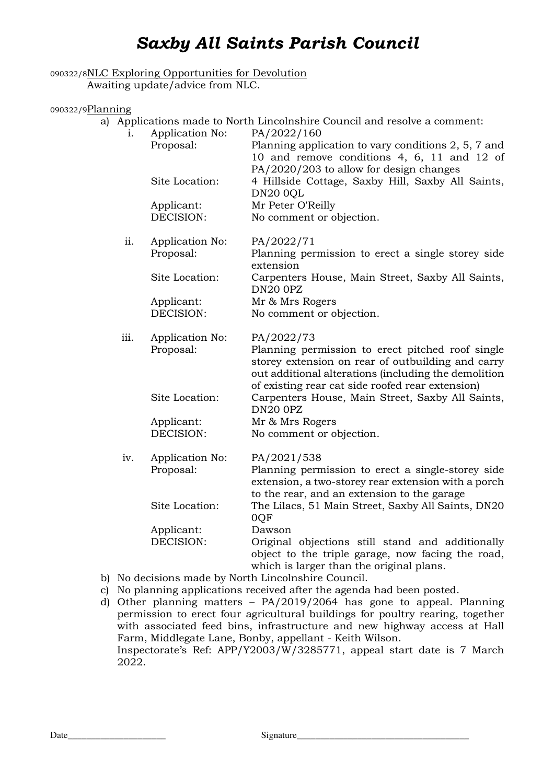### 090322/8NLC Exploring Opportunities for Devolution Awaiting update/advice from NLC.

### 090322/9Planning

| a) | Applications made to North Lincolnshire Council and resolve a comment: |                              |                                                                                                                                                                                                                   |  |  |
|----|------------------------------------------------------------------------|------------------------------|-------------------------------------------------------------------------------------------------------------------------------------------------------------------------------------------------------------------|--|--|
|    | 1 <sub>1</sub>                                                         | Application No:<br>Proposal: | PA/2022/160<br>Planning application to vary conditions 2, 5, 7 and<br>10 and remove conditions 4, 6, 11 and 12 of                                                                                                 |  |  |
|    |                                                                        | Site Location:               | PA/2020/203 to allow for design changes<br>4 Hillside Cottage, Saxby Hill, Saxby All Saints,<br><b>DN20 0QL</b>                                                                                                   |  |  |
|    |                                                                        | Applicant:                   | Mr Peter O'Reilly                                                                                                                                                                                                 |  |  |
|    |                                                                        | DECISION:                    | No comment or objection.                                                                                                                                                                                          |  |  |
|    | ii.                                                                    | Application No:              | PA/2022/71                                                                                                                                                                                                        |  |  |
|    |                                                                        | Proposal:                    | Planning permission to erect a single storey side<br>extension                                                                                                                                                    |  |  |
|    |                                                                        | Site Location:               | Carpenters House, Main Street, Saxby All Saints,<br><b>DN20 0PZ</b>                                                                                                                                               |  |  |
|    |                                                                        | Applicant:                   | Mr & Mrs Rogers                                                                                                                                                                                                   |  |  |
|    |                                                                        | DECISION:                    | No comment or objection.                                                                                                                                                                                          |  |  |
|    | iii.                                                                   | Application No:              | PA/2022/73                                                                                                                                                                                                        |  |  |
|    |                                                                        | Proposal:                    | Planning permission to erect pitched roof single<br>storey extension on rear of outbuilding and carry<br>out additional alterations (including the demolition<br>of existing rear cat side roofed rear extension) |  |  |
|    |                                                                        | Site Location:               | Carpenters House, Main Street, Saxby All Saints,<br><b>DN20 0PZ</b>                                                                                                                                               |  |  |
|    |                                                                        | Applicant:                   | Mr & Mrs Rogers                                                                                                                                                                                                   |  |  |
|    |                                                                        | DECISION:                    | No comment or objection.                                                                                                                                                                                          |  |  |
|    | iv.                                                                    | Application No:              | PA/2021/538                                                                                                                                                                                                       |  |  |
|    |                                                                        | Proposal:                    | Planning permission to erect a single-storey side<br>extension, a two-storey rear extension with a porch<br>to the rear, and an extension to the garage                                                           |  |  |
|    |                                                                        | Site Location:               | The Lilacs, 51 Main Street, Saxby All Saints, DN20<br>0QF                                                                                                                                                         |  |  |
|    |                                                                        | Applicant:                   | Dawson                                                                                                                                                                                                            |  |  |
|    |                                                                        | DECISION:                    | Original objections still stand and additionally<br>object to the triple garage, now facing the road,<br>which is larger than the original plans.                                                                 |  |  |

- b) No decisions made by North Lincolnshire Council.
- c) No planning applications received after the agenda had been posted.
- d) Other planning matters PA/2019/2064 has gone to appeal. Planning permission to erect four agricultural buildings for poultry rearing, together with associated feed bins, infrastructure and new highway access at Hall Farm, Middlegate Lane, Bonby, appellant - Keith Wilson. Inspectorate's Ref: APP/Y2003/W/3285771, appeal start date is 7 March 2022.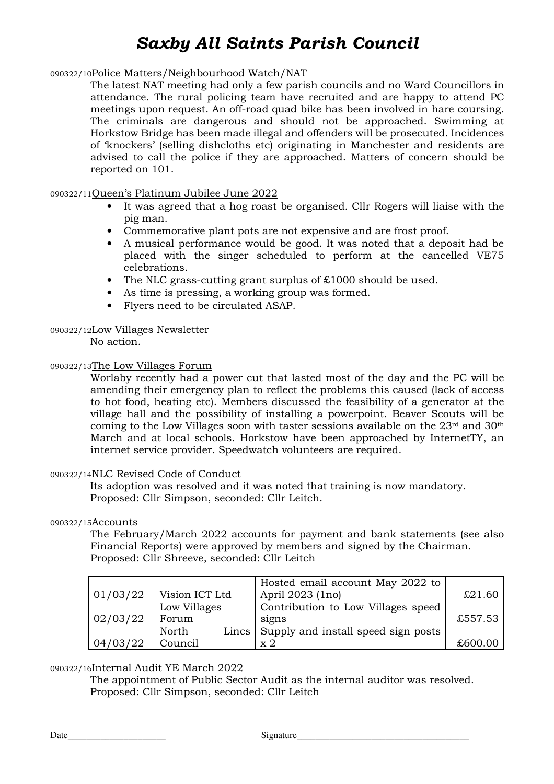### 090322/10Police Matters/Neighbourhood Watch/NAT

The latest NAT meeting had only a few parish councils and no Ward Councillors in attendance. The rural policing team have recruited and are happy to attend PC meetings upon request. An off-road quad bike has been involved in hare coursing. The criminals are dangerous and should not be approached. Swimming at Horkstow Bridge has been made illegal and offenders will be prosecuted. Incidences of 'knockers' (selling dishcloths etc) originating in Manchester and residents are advised to call the police if they are approached. Matters of concern should be reported on 101.

### 090322/11Queen's Platinum Jubilee June 2022

- It was agreed that a hog roast be organised. Cllr Rogers will liaise with the pig man.
- Commemorative plant pots are not expensive and are frost proof.
- A musical performance would be good. It was noted that a deposit had be placed with the singer scheduled to perform at the cancelled VE75 celebrations.
- The NLC grass-cutting grant surplus of £1000 should be used.
- As time is pressing, a working group was formed.
- Flyers need to be circulated ASAP.

### 090322/12Low Villages Newsletter

No action.

### 090322/13The Low Villages Forum

Worlaby recently had a power cut that lasted most of the day and the PC will be amending their emergency plan to reflect the problems this caused (lack of access to hot food, heating etc). Members discussed the feasibility of a generator at the village hall and the possibility of installing a powerpoint. Beaver Scouts will be coming to the Low Villages soon with taster sessions available on the  $23<sup>rd</sup>$  and  $30<sup>th</sup>$ March and at local schools. Horkstow have been approached by InternetTY, an internet service provider. Speedwatch volunteers are required.

#### 090322/14NLC Revised Code of Conduct

 Its adoption was resolved and it was noted that training is now mandatory. Proposed: Cllr Simpson, seconded: Cllr Leitch.

#### 090322/15Accounts

The February/March 2022 accounts for payment and bank statements (see also Financial Reports) were approved by members and signed by the Chairman. Proposed: Cllr Shreeve, seconded: Cllr Leitch

|          |                  | Hosted email account May 2022 to    |         |
|----------|------------------|-------------------------------------|---------|
| 01/03/22 | Vision ICT Ltd   | April 2023 (1no)                    | £21.60  |
|          | Low Villages     | Contribution to Low Villages speed  |         |
| 02/03/22 | Forum            | signs                               | £557.53 |
|          | Lincs  <br>North | Supply and install speed sign posts |         |
| 04/03/22 | Council          | $\ge 2$                             | £600.00 |

090322/16Internal Audit YE March 2022

 The appointment of Public Sector Audit as the internal auditor was resolved. Proposed: Cllr Simpson, seconded: Cllr Leitch

Date\_\_\_\_\_\_\_\_\_\_\_\_\_\_\_\_\_\_\_\_\_ Signature\_\_\_\_\_\_\_\_\_\_\_\_\_\_\_\_\_\_\_\_\_\_\_\_\_\_\_\_\_\_\_\_\_\_\_\_\_